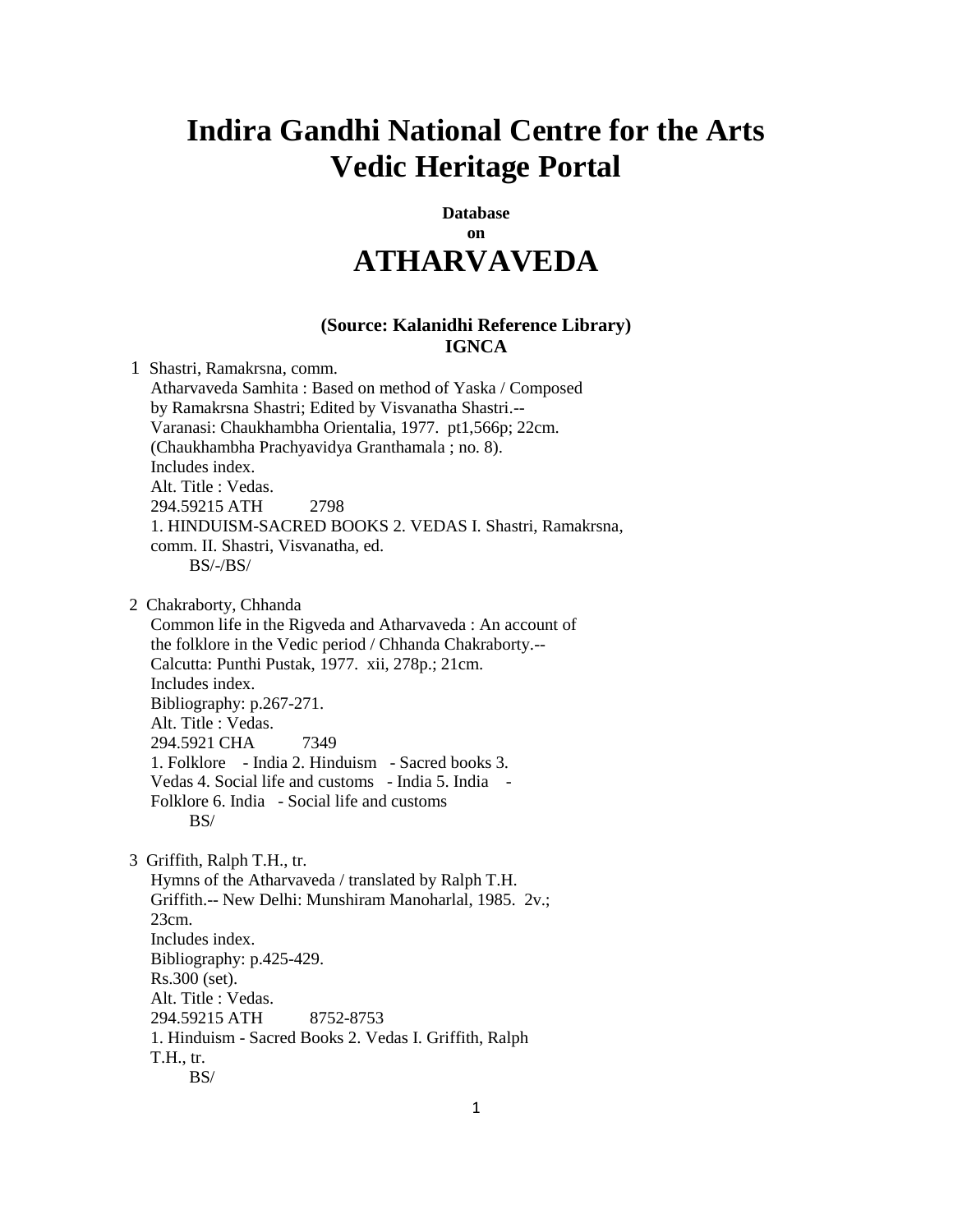## **Indira Gandhi National Centre for the Arts Vedic Heritage Portal**

## **Database on ATHARVAVEDA**

## **(Source: Kalanidhi Reference Library) IGNCA**

 1 Shastri, Ramakrsna, comm. Atharvaveda Samhita : Based on method of Yaska / Composed by Ramakrsna Shastri; Edited by Visvanatha Shastri.-- Varanasi: Chaukhambha Orientalia, 1977. pt1,566p; 22cm. (Chaukhambha Prachyavidya Granthamala ; no. 8). Includes index. Alt. Title : Vedas. 294.59215 ATH 2798 1. HINDUISM-SACRED BOOKS 2. VEDAS I. Shastri, Ramakrsna, comm. II. Shastri, Visvanatha, ed. BS/-/BS/

2 Chakraborty, Chhanda

 Common life in the Rigveda and Atharvaveda : An account of the folklore in the Vedic period / Chhanda Chakraborty.-- Calcutta: Punthi Pustak, 1977. xii, 278p.; 21cm. Includes index. Bibliography: p.267-271. Alt. Title : Vedas. 294.5921 CHA 7349 1. Folklore - India 2. Hinduism - Sacred books 3. Vedas 4. Social life and customs - India 5. India - Folklore 6. India - Social life and customs  $BS/$ 

3 Griffith, Ralph T.H., tr.

 Hymns of the Atharvaveda / translated by Ralph T.H. Griffith.-- New Delhi: Munshiram Manoharlal, 1985. 2v.; 23cm. Includes index. Bibliography: p.425-429. Rs.300 (set). Alt. Title : Vedas. 294.59215 ATH 8752-8753 1. Hinduism - Sacred Books 2. Vedas I. Griffith, Ralph T.H., tr. BS/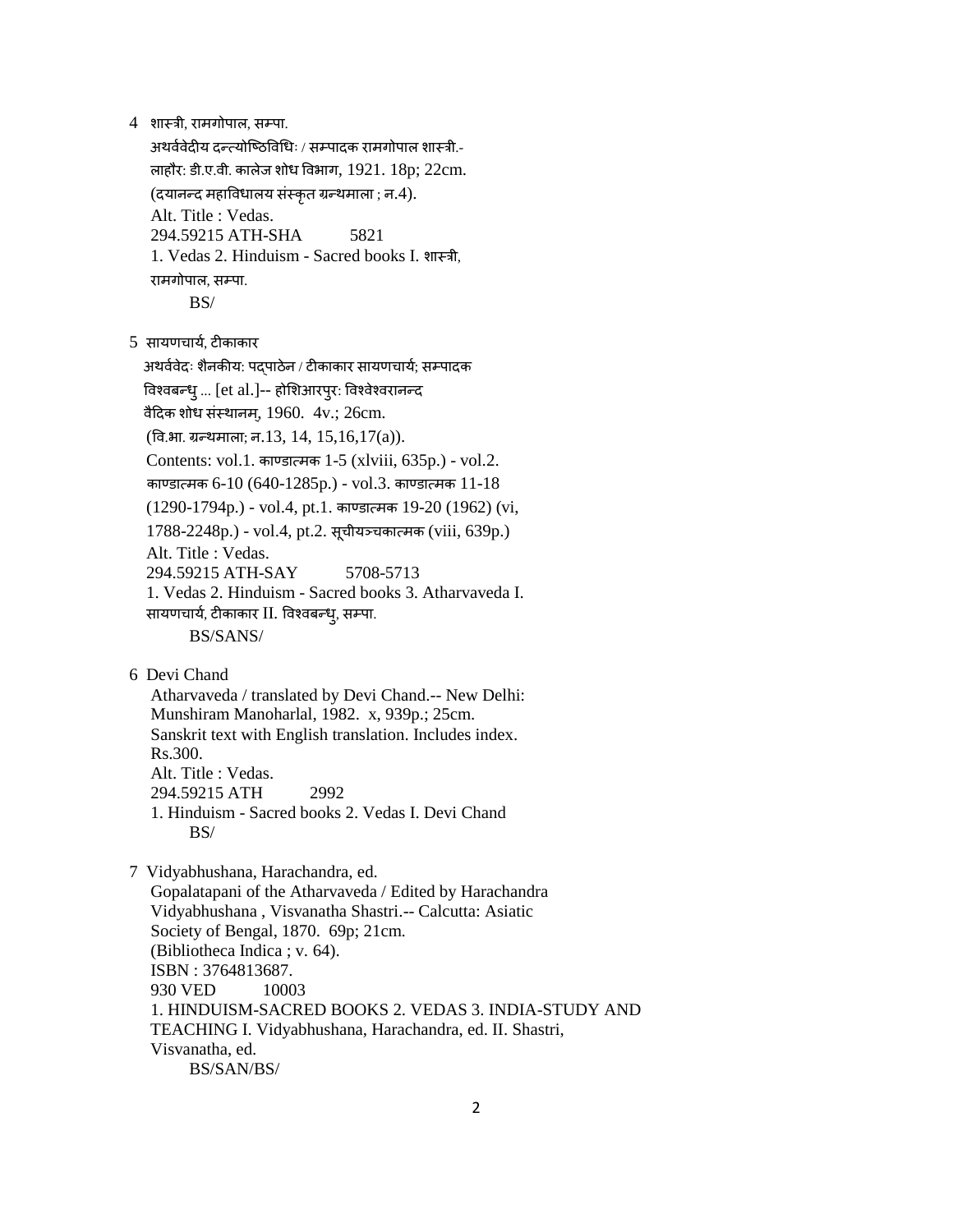4 शास्त्री, रामगोपाल, सम्पा.

अथर्ववेदीय दन्त्योष्ठिविधिः / सम्पादक रामगोपाल शास्त्री.- ऱाहौर: डी.ए.र्ी. काऱेज शोध वर्भाग, 1921. 18p; 22cm. (दयानन्तद महावर्धाऱय संस्त्कृत ग्रन्तथमाऱा ; न.4). Alt. Title : Vedas. 294.59215 ATH-SHA 5821 1. Vedas 2. Hinduism - Sacred books I. शास्त्री, रामगोपाल, सम्पा.

- BS/
- 5 सायणचार्य, टीकाकार

अथर्ववेदः शैनकीय: पद्पाठेन / टीकाकार सायणचार्य; सम्पादक विश्वबन्ध् ... [et al.]-- होशिआरप्**र: विश्वेश्वरानन्द** वैदिक शोध संस्थानम,  $1960.4$ v.;  $26$ cm.  $($ वि.भा. ग्रन्थमाला; न.13, 14, 15,16,17 $(a)$ ). Contents: vol.1. काण्डा्मक 1-5 (xlviii, 635p.) - vol.2. काण्डात्मक 6-10 (640-1285p.) - vol.3. काण्डात्मक 11-18  $(1290-1794p.)$  - vol.4, pt.1. काण्डात्मक 19-20  $(1962)$  (vi, 1788-2248p.) - vol.4, pt.2. सूचीयञ्चकात्मक (viii, 639p.) Alt. Title : Vedas. 294.59215 ATH-SAY 5708-5713 1. Vedas 2. Hinduism - Sacred books 3. Atharvaveda I. सायणचार्य, टीकाकार II. विश्वबन्ध्, सम्पा. BS/SANS/

6 Devi Chand

 Atharvaveda / translated by Devi Chand.-- New Delhi: Munshiram Manoharlal, 1982. x, 939p.; 25cm. Sanskrit text with English translation. Includes index. Rs.300. Alt. Title : Vedas. 294.59215 ATH 2992 1. Hinduism - Sacred books 2. Vedas I. Devi Chand BS/

 7 Vidyabhushana, Harachandra, ed. Gopalatapani of the Atharvaveda / Edited by Harachandra Vidyabhushana , Visvanatha Shastri.-- Calcutta: Asiatic Society of Bengal, 1870. 69p; 21cm. (Bibliotheca Indica ; v. 64). ISBN : 3764813687. 930 VED 10003 1. HINDUISM-SACRED BOOKS 2. VEDAS 3. INDIA-STUDY AND TEACHING I. Vidyabhushana, Harachandra, ed. II. Shastri, Visvanatha, ed. BS/SAN/BS/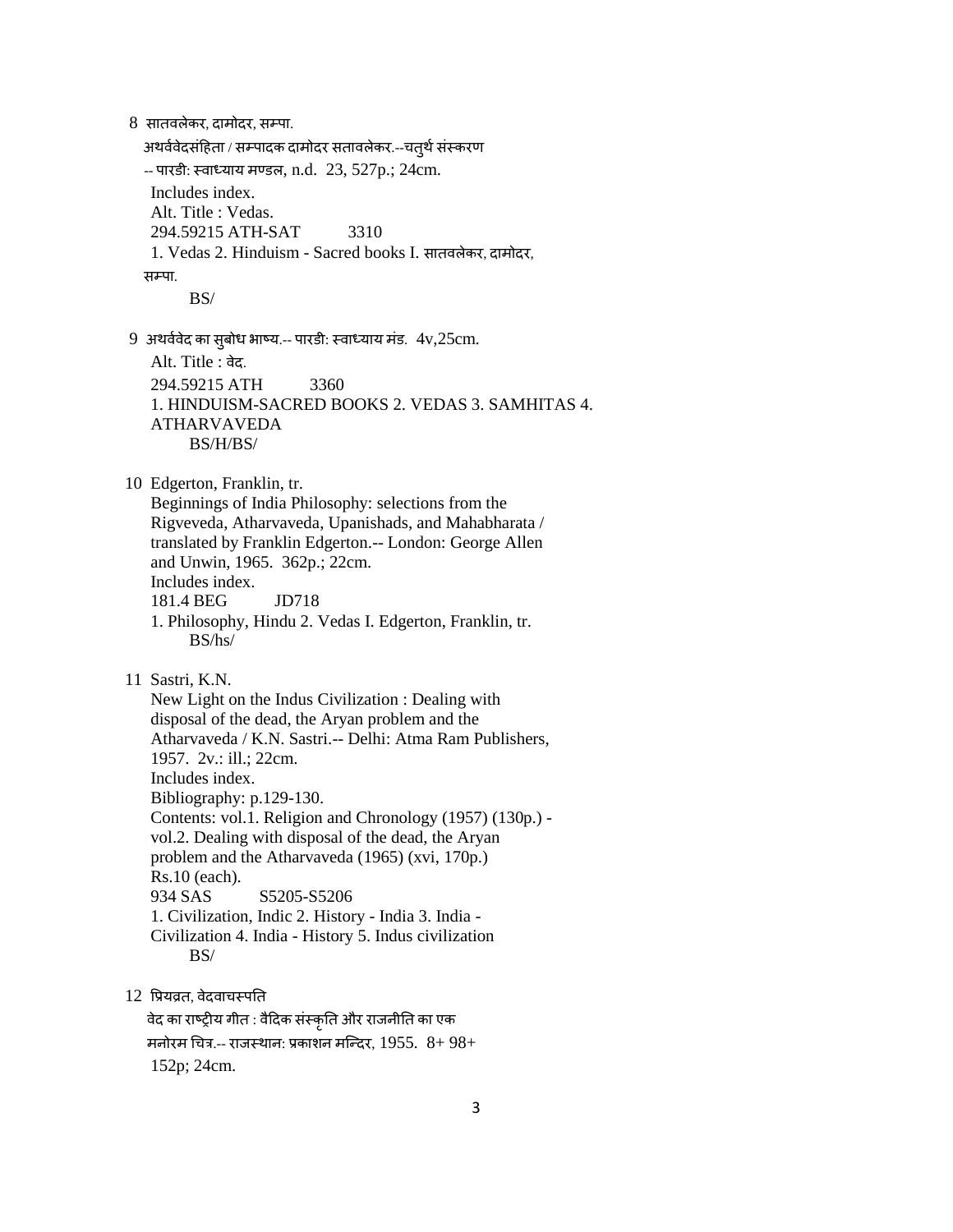8 सातवलेकर, दामोदर, सम्पा. अथर्ववेदसंहिता / सम्पादक दामोदर सतावलेकर.--चत्थे संस्करण -- पारडी: स्वाध्याय मण्डल, n.d. 23, 527p.; 24cm. Includes index. Alt. Title : Vedas. 294.59215 ATH-SAT 3310 1. Vedas 2. Hinduism - Sacred books I. सातर्ऱेकर, दामोदर, सम्पा. BS/  $9$  अथर्ववेद का सुबोध भाष्य.-- पारडी: स्वाध्याय मंड.  $4v,25cm$ . Alt. Title : वेद. 294.59215 ATH 3360 1. HINDUISM-SACRED BOOKS 2. VEDAS 3. SAMHITAS 4. ATHARVAVEDA BS/H/BS/ 10 Edgerton, Franklin, tr. Beginnings of India Philosophy: selections from the Rigveveda, Atharvaveda, Upanishads, and Mahabharata / translated by Franklin Edgerton.-- London: George Allen and Unwin, 1965. 362p.; 22cm. Includes index. 181.4 BEG JD718 1. Philosophy, Hindu 2. Vedas I. Edgerton, Franklin, tr. BS/hs/ 11 Sastri, K.N. New Light on the Indus Civilization : Dealing with disposal of the dead, the Aryan problem and the Atharvaveda / K.N. Sastri.-- Delhi: Atma Ram Publishers, 1957. 2v.: ill.; 22cm. Includes index. Bibliography: p.129-130. Contents: vol.1. Religion and Chronology (1957) (130p.) vol.2. Dealing with disposal of the dead, the Aryan problem and the Atharvaveda (1965) (xvi, 170p.) Rs.10 (each). 934 SAS S5205-S5206 1. Civilization, Indic 2. History - India 3. India - Civilization 4. India - History 5. Indus civilization BS/ 12 प्रियव्रत, वेदवाचस्पति वेद का राष्ट्रीय गीत : वैदिक संस्कृति और राजनीति का एक मनोरम चित्र.-- राजस्थान: प्रकाशन मन्दिर, 1955.  $8+98+$ 

152p; 24cm.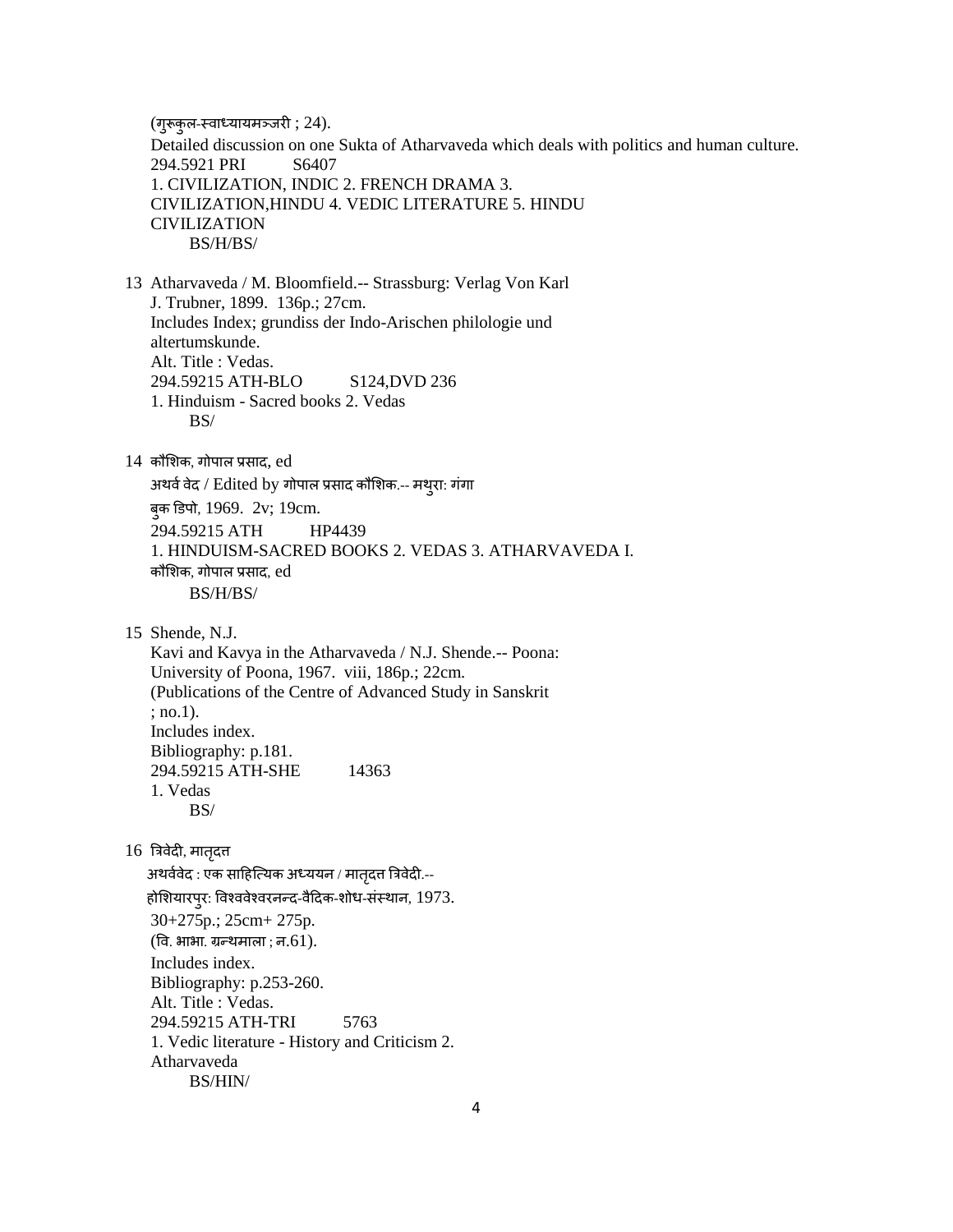(गुरूकुऱ-स्त्र्ाध्यायमञ्जरी ; 24). Detailed discussion on one Sukta of Atharvaveda which deals with politics and human culture. 294.5921 PRI S6407 1. CIVILIZATION, INDIC 2. FRENCH DRAMA 3. CIVILIZATION,HINDU 4. VEDIC LITERATURE 5. HINDU CIVILIZATION BS/H/BS/ 13 Atharvaveda / M. Bloomfield.-- Strassburg: Verlag Von Karl J. Trubner, 1899. 136p.; 27cm. Includes Index; grundiss der Indo-Arischen philologie und altertumskunde. Alt. Title : Vedas. 294.59215 ATH-BLO S124,DVD 236 1. Hinduism - Sacred books 2. Vedas BS/  $14$  कौशिक, गोपाल प्रसाद,  $ed$ अथर्व वेद / Edited by गोपाल प्रसाद कौशिक.-- मथुरा: गंगा बुक डिपो, 1969. 2v; 19cm. 294.59215 ATH HP4439 1. HINDUISM-SACRED BOOKS 2. VEDAS 3. ATHARVAVEDA I. कौशिक, गोपाल प्रसाद, ed BS/H/BS/ 15 Shende, N.J. Kavi and Kavya in the Atharvaveda / N.J. Shende.-- Poona: University of Poona, 1967. viii, 186p.; 22cm. (Publications of the Centre of Advanced Study in Sanskrit ; no.1). Includes index. Bibliography: p.181. 294.59215 ATH-SHE 14363 1. Vedas BS/  $16$  त्रिवेदी, मातृदत्त अथर्ववेद : एक साहित्यिक अध्ययन / मातृदत्त त्रिवेदी.--होशियारपुर: विश्ववेश्वरनन्द-वैदिक-शोध-संस्थान, 1973. 30+275p.; 25cm+ 275p.  $($ वि. भाभा. ग्रन्थमाला ; न.61). Includes index. Bibliography: p.253-260. Alt. Title : Vedas. 294.59215 ATH-TRI 5763 1. Vedic literature - History and Criticism 2. Atharvaveda BS/HIN/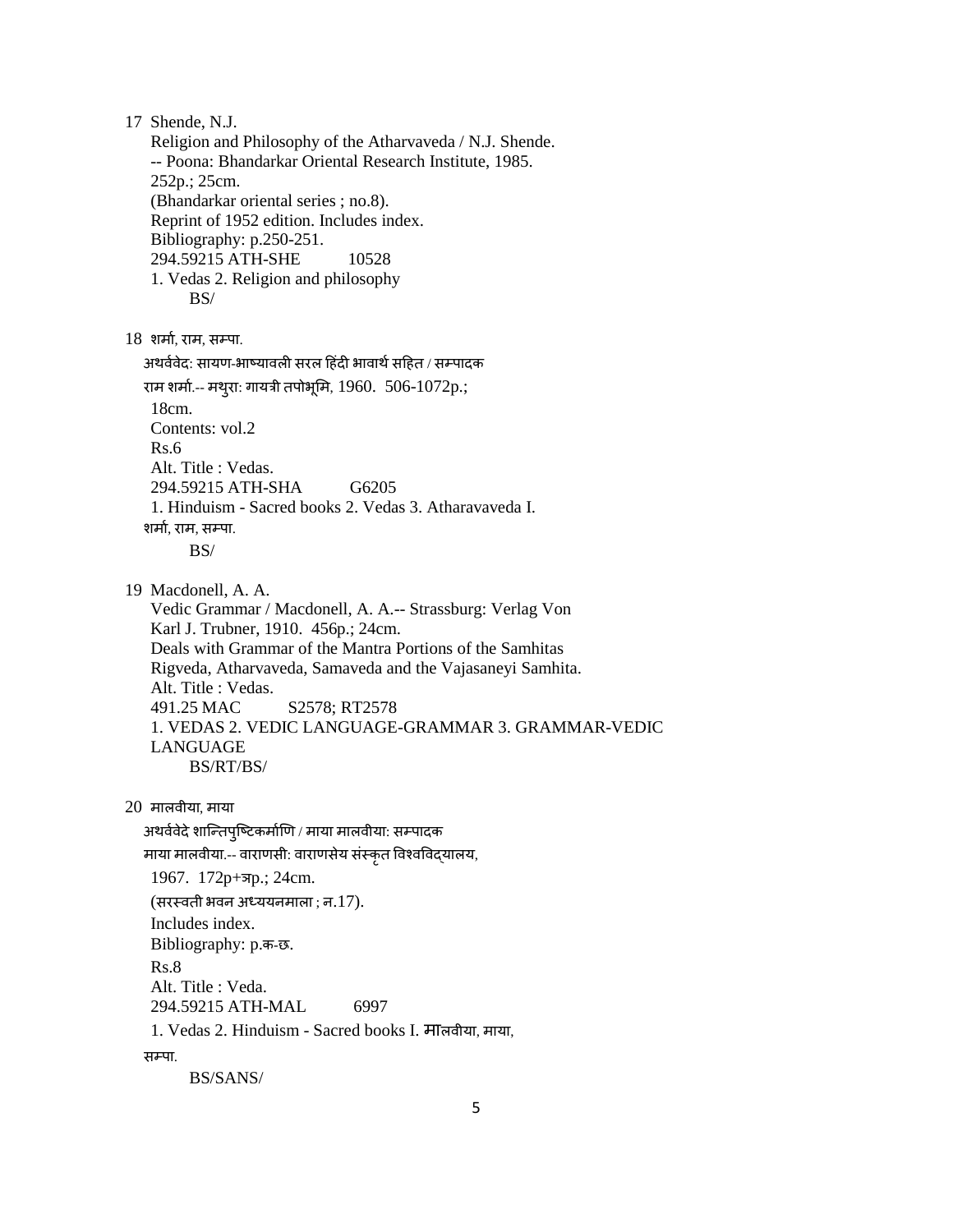17 Shende, N.J. Religion and Philosophy of the Atharvaveda / N.J. Shende. -- Poona: Bhandarkar Oriental Research Institute, 1985. 252p.; 25cm. (Bhandarkar oriental series ; no.8). Reprint of 1952 edition. Includes index. Bibliography: p.250-251. 294.59215 ATH-SHE 10528 1. Vedas 2. Religion and philosophy BS/  $18$  शर्मा, राम, सम्पा. अथर्ववेद: सायण-भाष्यावली सरल हिंदी भावार्थ सहित / सम्पादक राम शर्मा.-- मथुरा: गायत्री तपोभूमि, 1960. 506-1072p.; 18cm. Contents: vol.2 Rs.6 Alt. Title : Vedas. 294.59215 ATH-SHA G6205 1. Hinduism - Sacred books 2. Vedas 3. Atharavaveda I. शर्मा, राम, सम्पा. BS/ 19 Macdonell, A. A. Vedic Grammar / Macdonell, A. A.-- Strassburg: Verlag Von Karl J. Trubner, 1910. 456p.; 24cm. Deals with Grammar of the Mantra Portions of the Samhitas Rigveda, Atharvaveda, Samaveda and the Vajasaneyi Samhita. Alt. Title : Vedas. 491.25 MAC S2578; RT2578 1. VEDAS 2. VEDIC LANGUAGE-GRAMMAR 3. GRAMMAR-VEDIC LANGUAGE BS/RT/BS/  $20$  मालवीया, माया अथर्ववेदे शान्तिपृष्टिकर्माणि / माया मालवीया: सम्पादक माया मालवीया.-- वाराणसी: वाराणसेय संस्कृत विश्वविद्यालय, 1967. 172p+ञp.; 24cm.  $($ सरस्वती भवन अध्ययनमाला ; न.17). Includes index. Bibliography: p.क-छ. Rs.8 Alt. Title : Veda. 294.59215 ATH-MAL 6997 1. Vedas 2. Hinduism - Sacred books I. मालवीया, माया, सम्पा.

BS/SANS/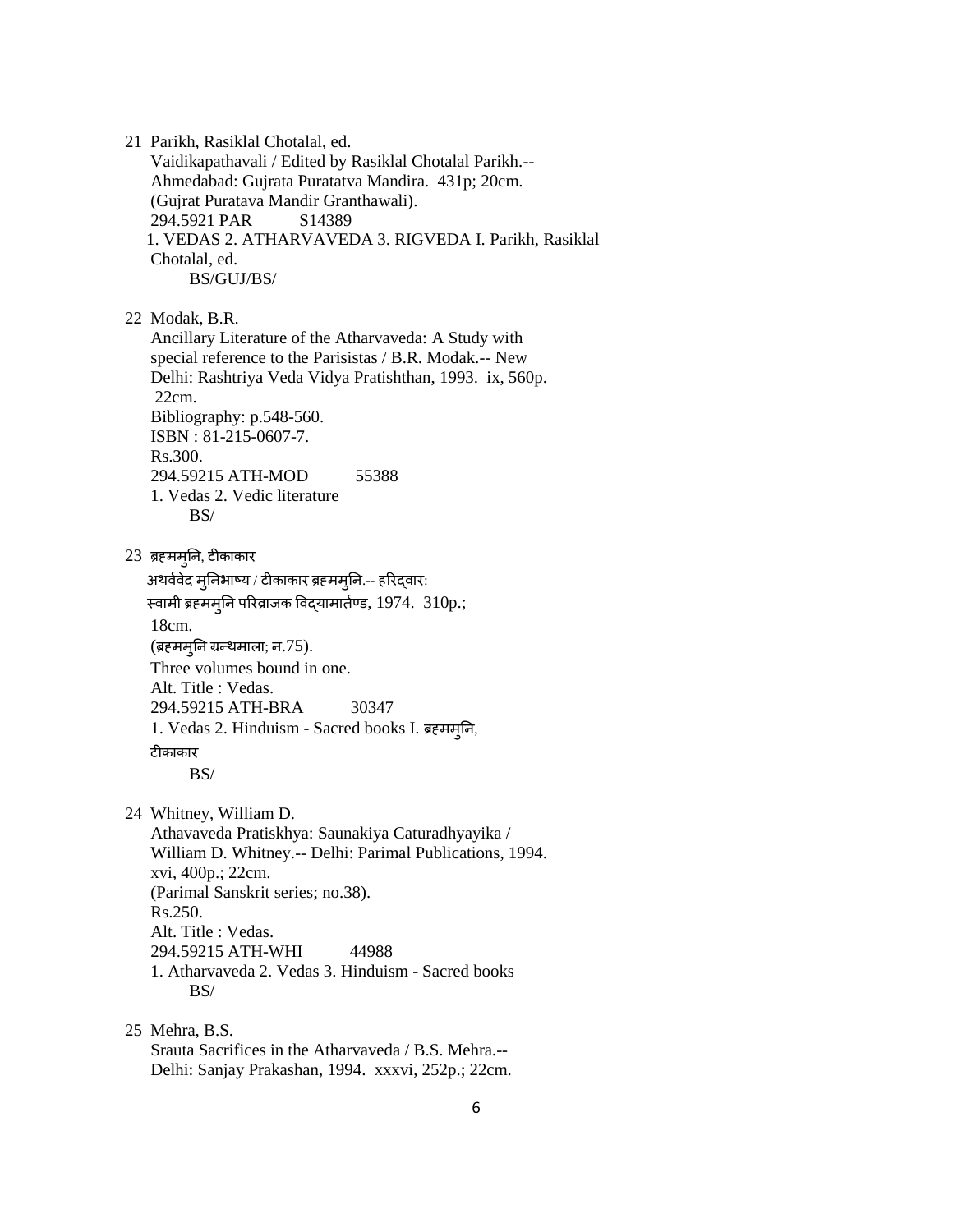21 Parikh, Rasiklal Chotalal, ed. Vaidikapathavali / Edited by Rasiklal Chotalal Parikh.-- Ahmedabad: Gujrata Puratatva Mandira. 431p; 20cm. (Gujrat Puratava Mandir Granthawali). 294.5921 PAR S14389 1. VEDAS 2. ATHARVAVEDA 3. RIGVEDA I. Parikh, Rasiklal Chotalal, ed. BS/GUJ/BS/

22 Modak, B.R.

 Ancillary Literature of the Atharvaveda: A Study with special reference to the Parisistas / B.R. Modak.-- New Delhi: Rashtriya Veda Vidya Pratishthan, 1993. ix, 560p. 22cm. Bibliography: p.548-560. ISBN : 81-215-0607-7. Rs.300. 294.59215 ATH-MOD 55388 1. Vedas 2. Vedic literature BS/

23 ब्रह्ममुतन, टीकाकार

अथर्ववेद मुनिभाष्य / टीकाकार ब्रहममुनि.-- हरिद्वार: स्वामी ब्रहममुनि परिव्राजक विद्यामार्तण्ड, 1974. 310p.; 18cm. (ब्रहममुनि ग्रन्थमाला; न.75). Three volumes bound in one. Alt. Title : Vedas. 294.59215 ATH-BRA 30347 1. Vedas 2. Hinduism - Sacred books I. ब्रह्ममुतन, टीकाकार BS/

24 Whitney, William D.

 Athavaveda Pratiskhya: Saunakiya Caturadhyayika / William D. Whitney.-- Delhi: Parimal Publications, 1994. xvi, 400p.; 22cm. (Parimal Sanskrit series; no.38). Rs.250. Alt. Title : Vedas. 294.59215 ATH-WHI 44988 1. Atharvaveda 2. Vedas 3. Hinduism - Sacred books BS/

 25 Mehra, B.S. Srauta Sacrifices in the Atharvaveda / B.S. Mehra.-- Delhi: Sanjay Prakashan, 1994. xxxvi, 252p.; 22cm.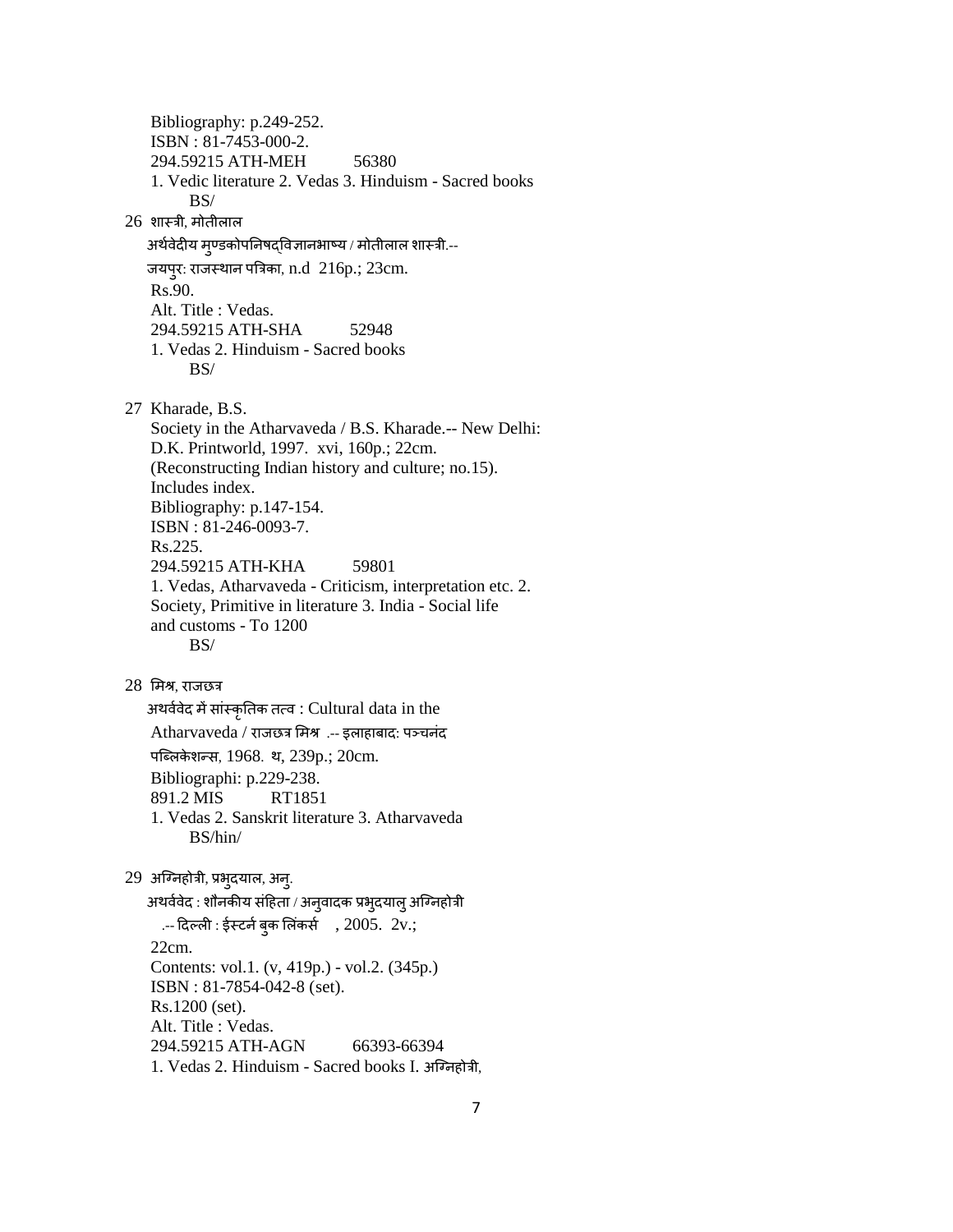Bibliography: p.249-252. ISBN : 81-7453-000-2. 294.59215 ATH-MEH 56380 1. Vedic literature 2. Vedas 3. Hinduism - Sacred books BS/ 26 शास्त्री, मोतीऱाऱ अर्थवेदीय मुण्डकोपनिषद्विज्ञानभाष्य / मोतीलाल शास्त्री.--जयपुर: राजस्थान पत्रिका, n.d 216p.; 23cm. Rs.90. Alt. Title : Vedas. 294.59215 ATH-SHA 52948 1. Vedas 2. Hinduism - Sacred books BS/ 27 Kharade, B.S. Society in the Atharvaveda / B.S. Kharade.-- New Delhi: D.K. Printworld, 1997. xvi, 160p.; 22cm. (Reconstructing Indian history and culture; no.15). Includes index. Bibliography: p.147-154. ISBN : 81-246-0093-7. Rs.225. 294.59215 ATH-KHA 59801 1. Vedas, Atharvaveda - Criticism, interpretation etc. 2. Society, Primitive in literature 3. India - Social life and customs - To 1200 BS/ 28 शमश्र, राजछर अथर्ववेद में सांस्कृतिक तत्व : Cultural data in the Atharvaveda / राजछत्र मिश्र .-- इलाहाबाद: पञ्चनंद ऩष्लऱके शन्तस, 1968. थ, 239p.; 20cm. Bibliographi: p.229-238. 891.2 MIS RT1851 1. Vedas 2. Sanskrit literature 3. Atharvaveda BS/hin/ 29 अग्निहोत्री, प्रभुदयाल, अन्. अथर्ववेद : शौनकीय संहिता / अनुवादक प्रभुदयालु अग्निहोत्री  $-$  दिल्ली : ईस्टर्न बुक लिंकर्स , 2005. 2v.; 22cm. Contents: vol.1. (v, 419p.) - vol.2. (345p.) ISBN : 81-7854-042-8 (set). Rs.1200 (set). Alt. Title : Vedas. 294.59215 ATH-AGN 66393-66394 1. Vedas 2. Hinduism - Sacred books I. अष्ननहोरी,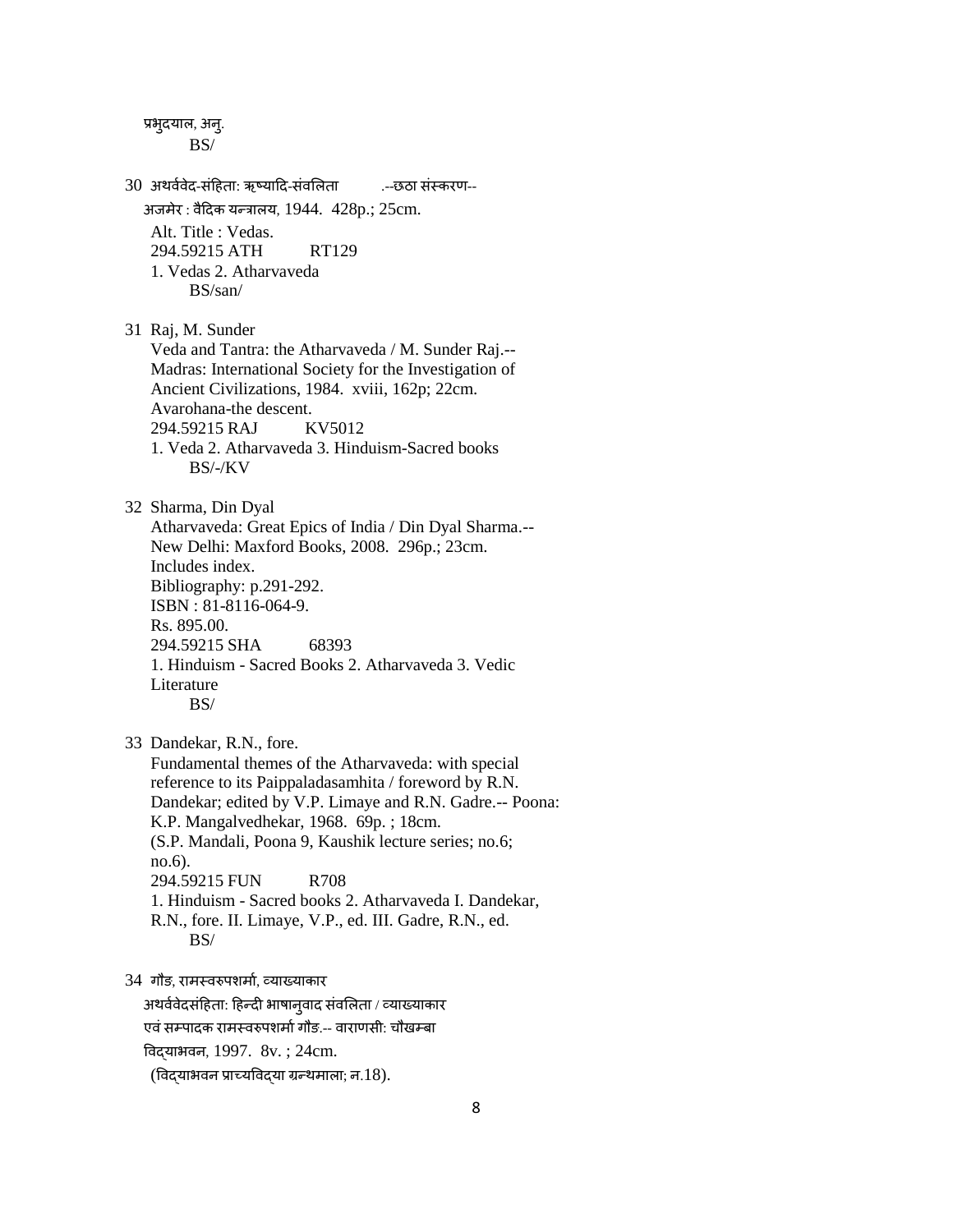प्रभुदयाल, अन्. BS/ 30 अथर्ववेद-संहिता: ऋष्यादि-संवलिता .--छठा संस्करण-- अजमेर : र्ैददक यन्तराऱय, 1944. 428p.; 25cm. Alt. Title : Vedas. 294.59215 ATH RT129 1. Vedas 2. Atharvaveda BS/san/ 31 Raj, M. Sunder Veda and Tantra: the Atharvaveda / M. Sunder Raj.-- Madras: International Society for the Investigation of Ancient Civilizations, 1984. xviii, 162p; 22cm. Avarohana-the descent. 294.59215 RAJ KV5012 1. Veda 2. Atharvaveda 3. Hinduism-Sacred books BS/-/KV 32 Sharma, Din Dyal Atharvaveda: Great Epics of India / Din Dyal Sharma.-- New Delhi: Maxford Books, 2008. 296p.; 23cm. Includes index. Bibliography: p.291-292. ISBN : 81-8116-064-9. Rs. 895.00. 294.59215 SHA 68393 1. Hinduism - Sacred Books 2. Atharvaveda 3. Vedic Literature BS/ 33 Dandekar, R.N., fore. Fundamental themes of the Atharvaveda: with special reference to its Paippaladasamhita / foreword by R.N. Dandekar; edited by V.P. Limaye and R.N. Gadre.-- Poona: K.P. Mangalvedhekar, 1968. 69p. ; 18cm. (S.P. Mandali, Poona 9, Kaushik lecture series; no.6; no.6). 294.59215 FUN R708 1. Hinduism - Sacred books 2. Atharvaveda I. Dandekar, R.N., fore. II. Limaye, V.P., ed. III. Gadre, R.N., ed. BS/ 34 गौङ, रामस्वरुपशर्मा, व्याख्याकार अथर्ववेदसंहिता: हिन्दी भाषानुवाद संवलिता / व्याख्याकार एवं सम्पादक रामस्वरुपशर्मा गौड.-- वाराणसी: चौखम्बा

वर्द्याभर्न, 1997. 8v. ; 24cm.

 $($ विद्याभवन प्राच्यविद्या ग्रन्थमाला; न.18).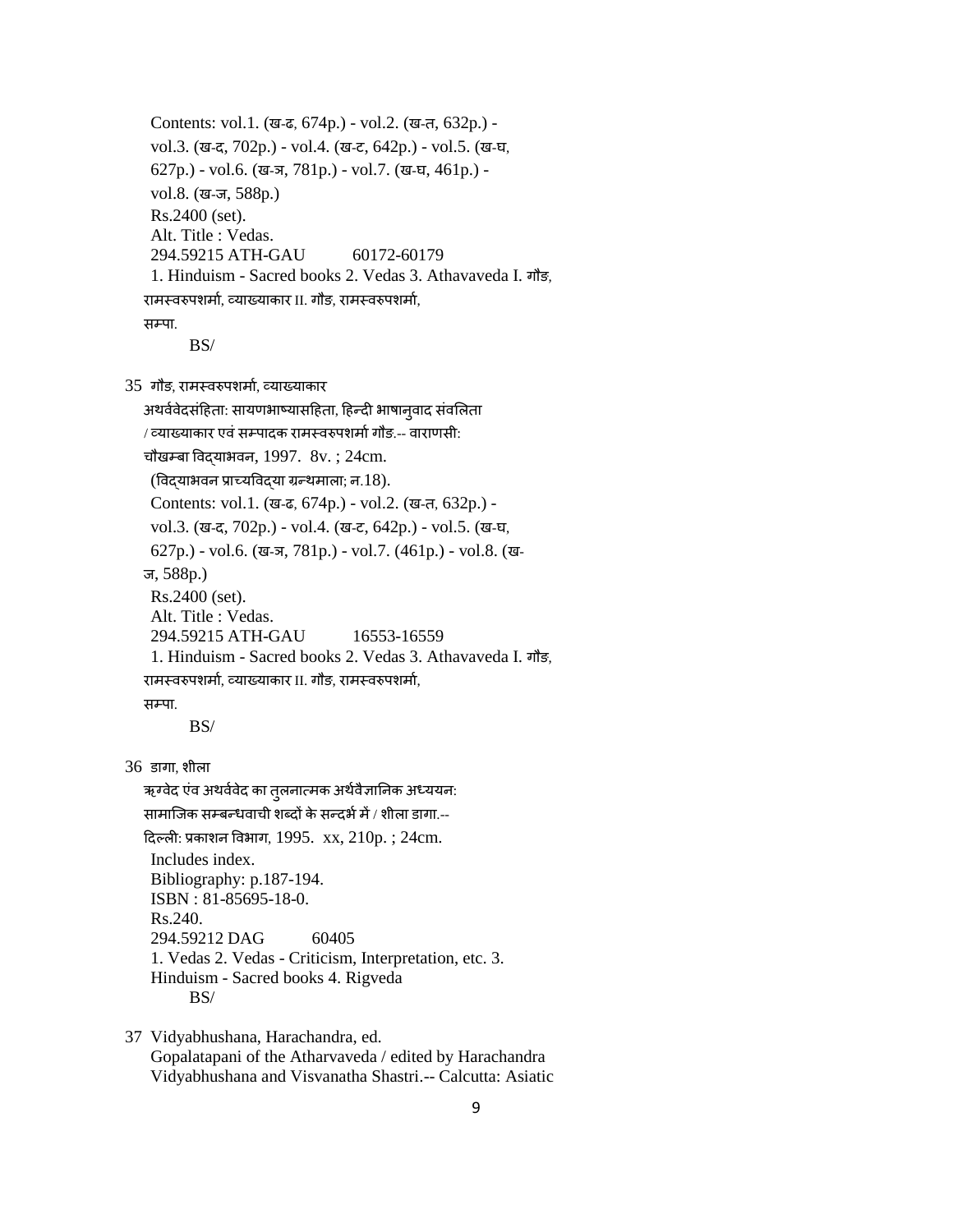```
 Contents: vol.1. (ख-ढ, 674p.) - vol.2. (ख-त, 632p.) - 
  vol.3. (ख-द, 702p.) - vol.4. (ख-ट, 642p.) - vol.5. (ख-घ,
  627p.) - vol.6. (ख-ञ, 781p.) - vol.7. (ख-घ, 461p.) - 
  vol.8. (ख-ज, 588p.) 
  Rs.2400 (set). 
  Alt. Title : Vedas. 
  294.59215 ATH-GAU 60172-60179 
  1. Hinduism - Sacred books 2. Vedas 3. Athavaveda I. गौङ,
रामस्वरुपशर्मा, व्याख्याकार II. गौड, रामस्वरुपशर्मा,
सम्पा.
       BS/
```
35 गौड़, रामस्वरुपशर्मा, व्याख्याकार

```
अथर्ववेदसंहिता: सायणभाष्यासहिता, हिन्दी भाषान्वाद संवलिता
/ व्याख्याकार एवं सम्पादक रामस्वरुपशर्मा गौङ.-- वाराणसी:
चौखम्बा विदयाभवन, 1997. 8v.; 24cm.(विदयाभवन प्राच्यविदया ग्रन्थमाला; न.18).
  Contents: vol.1. (ख-ढ, 674p.) - vol.2. (ख-त, 632p.) - 
  vol.3. (ख-द, 702p.) - vol.4. (ख-ट, 642p.) - vol.5. (ख-घ,
  627p.) - vol.6. (ख-ञ, 781p.) - vol.7. (461p.) - vol.8. (ख-
 ज, 588p.) 
  Rs.2400 (set). 
  Alt. Title : Vedas. 
  294.59215 ATH-GAU 16553-16559 
  1. Hinduism - Sacred books 2. Vedas 3. Athavaveda I. गौङ,
रामस्वरुपशर्मा, व्याख्याकार II. गौङ, रामस्वरुपशर्मा,
सम्पा.
        BS/
```
 $36$  डागा, शीला

ऋग्वेद एंव अथर्ववेद का तुलनात्मक अर्थवैज्ञानिक अध्ययन: सामाजिक सम्बन्धवाची शब्दों के सन्दर्भ में / शीला डागा.--दिल्ली: प्रकाशन विभाग, 1995. xx,  $210p.$ ;  $24cm.$  Includes index. Bibliography: p.187-194. ISBN : 81-85695-18-0. Rs.240. 294.59212 DAG 60405 1. Vedas 2. Vedas - Criticism, Interpretation, etc. 3. Hinduism - Sacred books 4. Rigveda BS/

 37 Vidyabhushana, Harachandra, ed. Gopalatapani of the Atharvaveda / edited by Harachandra Vidyabhushana and Visvanatha Shastri.-- Calcutta: Asiatic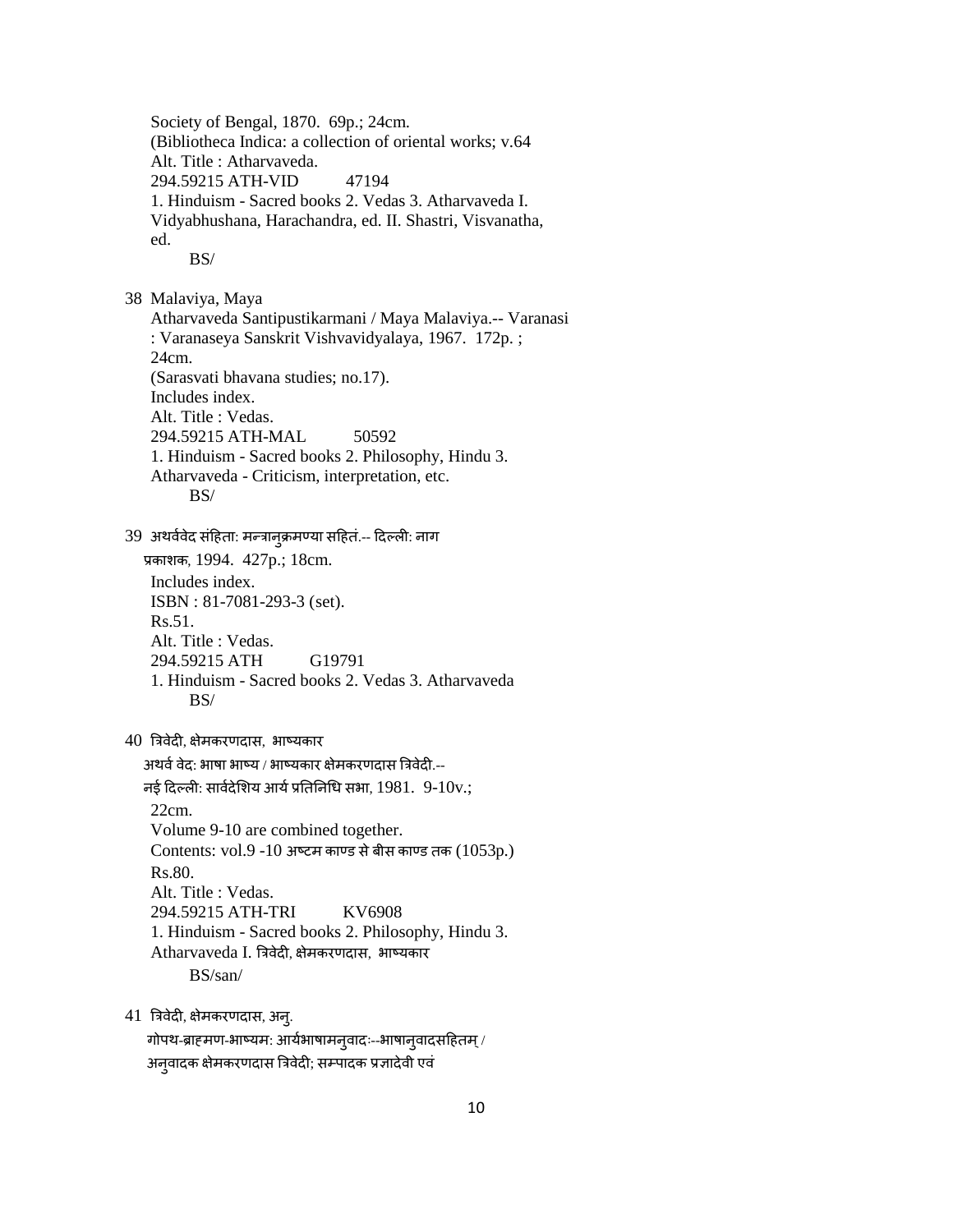Society of Bengal, 1870. 69p.; 24cm. (Bibliotheca Indica: a collection of oriental works; v.64 Alt. Title : Atharvaveda. 294.59215 ATH-VID 47194 1. Hinduism - Sacred books 2. Vedas 3. Atharvaveda I. Vidyabhushana, Harachandra, ed. II. Shastri, Visvanatha, ed. BS/ 38 Malaviya, Maya Atharvaveda Santipustikarmani / Maya Malaviya.-- Varanasi : Varanaseya Sanskrit Vishvavidyalaya, 1967. 172p. ; 24cm. (Sarasvati bhavana studies; no.17). Includes index. Alt. Title : Vedas. 294.59215 ATH-MAL 50592 1. Hinduism - Sacred books 2. Philosophy, Hindu 3. Atharvaveda - Criticism, interpretation, etc. BS/ 39 अथर्ववेद संहिता: मन्त्रानुक्रमण्या सहितं.-- दिल्ली: नाग िकाशक, 1994. 427p.; 18cm. Includes index. ISBN : 81-7081-293-3 (set). Rs.51. Alt. Title : Vedas. 294.59215 ATH G19791 1. Hinduism - Sacred books 2. Vedas 3. Atharvaveda BS/ 40 त्रिवेदी, क्षेमकरणदास, भाष्यकार अथर्व वेद: भाषा भाष्य / भाष्यकार क्षेमकरणदास त्रिवेदी.--नई दिल्ली: सार्वदेशिय आर्य प्रतिनिधि सभा, 1981. 9-10v.; 22cm. Volume 9-10 are combined together. Contents: vol.9 -10 अठटम काण्ड सेबीस काण्ड तक (1053p.) Rs.80. Alt. Title : Vedas. 294.59215 ATH-TRI KV6908 1. Hinduism - Sacred books 2. Philosophy, Hindu 3. Atharvaveda I. त्रिवेदी, क्षेमकरणदास, भाष्यकार BS/san/ 41 त्रिवेदी, क्षेमकरणदास, अन्.

गोपथ-ब्राह्मण-भाष्यम: आर्यभाषामनुवादः--भाषानुवादसहितम् / अन्**वादक क्षेमकरणदास त्रिवेदी; सम्पादक प्रजा**देवी एवं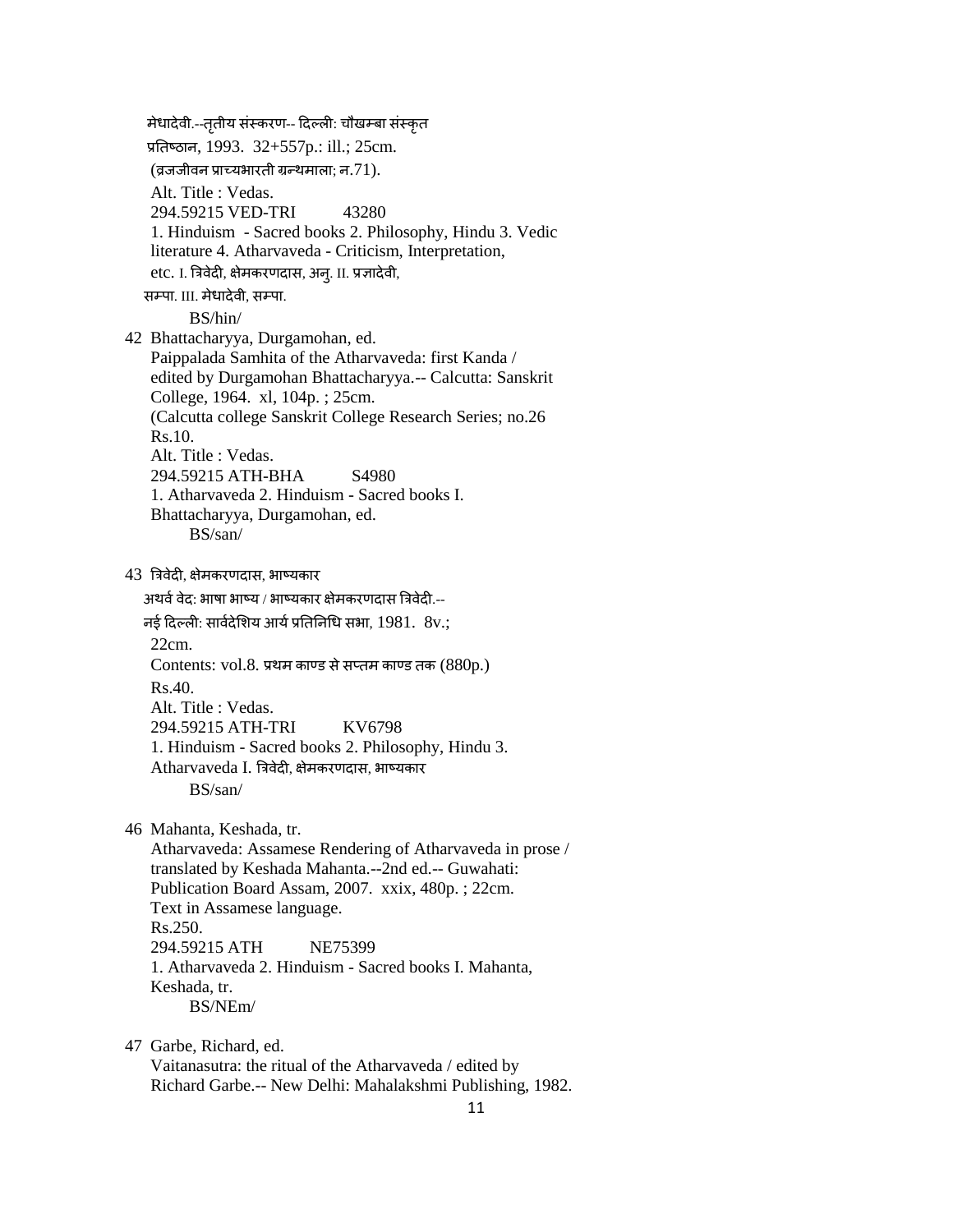मेधादेवी.--तृतीय संस्करण-- दिल्ली: चौखम्बा संस्कृत प्रतिष्ठान, 1993. 32+557p.: ill.; 25cm. (व्रजजीवन प्राच्यभारती ग्रन्थमाला; न.71). Alt. Title : Vedas. 294.59215 VED-TRI 43280 1. Hinduism - Sacred books 2. Philosophy, Hindu 3. Vedic literature 4. Atharvaveda - Criticism, Interpretation, etc. I. त्रिवेदी, क्षेमकरणदास, अन्. II. प्रज्ञादेवी, सम्पा. III. मेधादेवी, सम्पा. BS/hin/ 42 Bhattacharyya, Durgamohan, ed. Paippalada Samhita of the Atharvaveda: first Kanda / edited by Durgamohan Bhattacharyya.-- Calcutta: Sanskrit College, 1964. xl, 104p. ; 25cm. (Calcutta college Sanskrit College Research Series; no.26 Rs.10. Alt. Title : Vedas. 294.59215 ATH-BHA S4980 1. Atharvaveda 2. Hinduism - Sacred books I. Bhattacharyya, Durgamohan, ed. BS/san/ 43 त्रिवेदी, क्षेमकरणदास, भाष्यकार अथर्व वेद: भाषा भाष्य / भाष्यकार क्षेमकरणदास त्रिवेदी.--नई दिल्ली: सार्वदेशिय आर्य प्रतिनिधि सभा, 1981. 8v.; 22cm. Contents: vol.8. प्रथम काण्ड से सप्तम काण्ड तक  $(880p.)$  $Rs.40$  Alt. Title : Vedas. 294.59215 ATH-TRI KV6798 1. Hinduism - Sacred books 2. Philosophy, Hindu 3. Atharvaveda I. त्रिवेदी, क्षेमकरणदास, भाष्यकार BS/san/ 46 Mahanta, Keshada, tr. Atharvaveda: Assamese Rendering of Atharvaveda in prose / translated by Keshada Mahanta.--2nd ed.-- Guwahati: Publication Board Assam, 2007. xxix, 480p. ; 22cm. Text in Assamese language. Rs.250. 294.59215 ATH NE75399 1. Atharvaveda 2. Hinduism - Sacred books I. Mahanta, Keshada, tr. BS/NEm/ 47 Garbe, Richard, ed.

 Vaitanasutra: the ritual of the Atharvaveda / edited by Richard Garbe.-- New Delhi: Mahalakshmi Publishing, 1982.